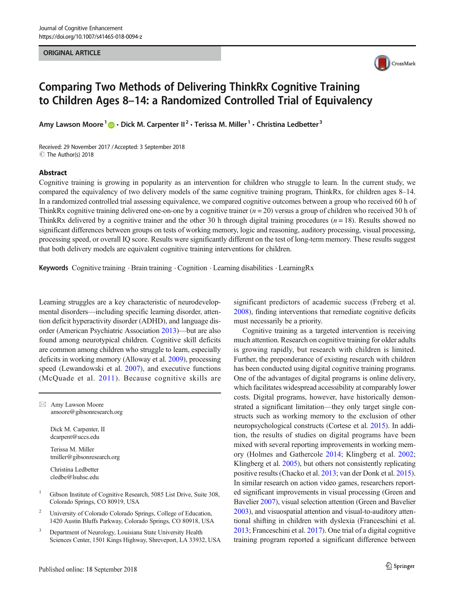#### ORIGINAL ARTICLE



# Comparing Two Methods of Delivering ThinkRx Cognitive Training to Children Ages 8–14: a Randomized Controlled Trial of Equivalency

Amy Lawson Moore<sup>1</sup>  $\cdot$  Dick M. Carpenter II<sup>2</sup>  $\cdot$  Terissa M. Miller<sup>1</sup>  $\cdot$  Christina Ledbetter<sup>3</sup>

Received: 29 November 2017 /Accepted: 3 September 2018 © The Author(s) 2018

#### Abstract

Cognitive training is growing in popularity as an intervention for children who struggle to learn. In the current study, we compared the equivalency of two delivery models of the same cognitive training program, ThinkRx, for children ages 8–14. In a randomized controlled trial assessing equivalence, we compared cognitive outcomes between a group who received 60 h of ThinkRx cognitive training delivered one-on-one by a cognitive trainer  $(n = 20)$  versus a group of children who received 30 h of ThinkRx delivered by a cognitive trainer and the other 30 h through digital training procedures ( $n = 18$ ). Results showed no significant differences between groups on tests of working memory, logic and reasoning, auditory processing, visual processing, processing speed, or overall IQ score. Results were significantly different on the test of long-term memory. These results suggest that both delivery models are equivalent cognitive training interventions for children.

Keywords Cognitive training . Brain training . Cognition . Learning disabilities . LearningRx

Learning struggles are a key characteristic of neurodevelopmental disorders—including specific learning disorder, attention deficit hyperactivity disorder (ADHD), and language disorder (American Psychiatric Association [2013](#page-8-0))—but are also found among neurotypical children. Cognitive skill deficits are common among children who struggle to learn, especially deficits in working memory (Alloway et al. [2009\)](#page-7-0), processing speed (Lewandowski et al. [2007\)](#page-8-0), and executive functions (McQuade et al. [2011\)](#page-8-0). Because cognitive skills are

 $\boxtimes$  Amy Lawson Moore [amoore@gibsonresearch.org](mailto:amoore@gibsonresearch.org)

> Dick M. Carpenter, II dcarpent@uccs.edu

Terissa M. Miller tmiller@gibsonresearch.org

Christina Ledbetter cledbe@lsuhsc.edu

- <sup>1</sup> Gibson Institute of Cognitive Research, 5085 List Drive, Suite 308, Colorado Springs, CO 80919, USA
- <sup>2</sup> University of Colorado Colorado Springs, College of Education, 1420 Austin Bluffs Parkway, Colorado Springs, CO 80918, USA
- Department of Neurology, Louisiana State University Health Sciences Center, 1501 Kings Highway, Shreveport, LA 33932, USA

significant predictors of academic success (Freberg et al. [2008\)](#page-8-0), finding interventions that remediate cognitive deficits must necessarily be a priority.

Cognitive training as a targeted intervention is receiving much attention. Research on cognitive training for older adults is growing rapidly, but research with children is limited. Further, the preponderance of existing research with children has been conducted using digital cognitive training programs. One of the advantages of digital programs is online delivery, which facilitates widespread accessibility at comparably lower costs. Digital programs, however, have historically demonstrated a significant limitation—they only target single constructs such as working memory to the exclusion of other neuropsychological constructs (Cortese et al. [2015\)](#page-8-0). In addition, the results of studies on digital programs have been mixed with several reporting improvements in working memory (Holmes and Gathercole [2014;](#page-8-0) Klingberg et al. [2002;](#page-8-0) Klingberg et al. [2005](#page-8-0)), but others not consistently replicating positive results (Chacko et al. [2013](#page-8-0); van der Donk et al. [2015\)](#page-9-0). In similar research on action video games, researchers reported significant improvements in visual processing (Green and Bavelier [2007\)](#page-8-0), visual selection attention (Green and Bavelier [2003\)](#page-8-0), and visuospatial attention and visual-to-auditory attentional shifting in children with dyslexia (Franceschini et al. [2013;](#page-8-0) Franceschini et al. [2017\)](#page-8-0). One trial of a digital cognitive training program reported a significant difference between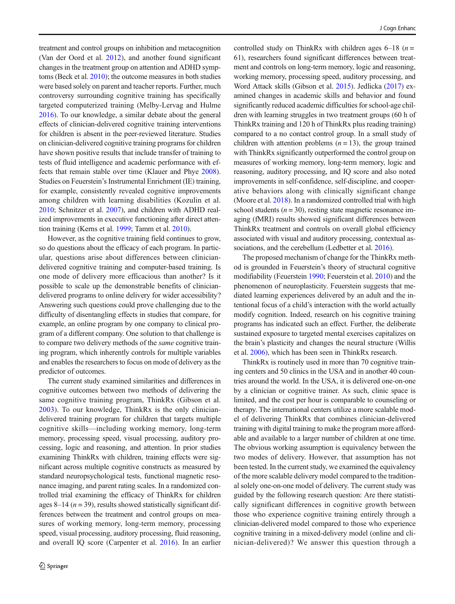treatment and control groups on inhibition and metacognition (Van der Oord et al. [2012\)](#page-9-0), and another found significant changes in the treatment group on attention and ADHD symptoms (Beck et al. [2010](#page-8-0)); the outcome measures in both studies were based solely on parent and teacher reports. Further, much controversy surrounding cognitive training has specifically targeted computerized training (Melby-Lervag and Hulme [2016\)](#page-8-0). To our knowledge, a similar debate about the general effects of clinician-delivered cognitive training interventions for children is absent in the peer-reviewed literature. Studies on clinician-delivered cognitive training programs for children have shown positive results that include transfer of training to tests of fluid intelligence and academic performance with effects that remain stable over time (Klauer and Phye [2008](#page-8-0)). Studies on Feuerstein's Instrumental Enrichment (IE) training, for example, consistently revealed cognitive improvements among children with learning disabilities (Kozulin et al. [2010;](#page-8-0) Schnitzer et al. [2007\)](#page-9-0), and children with ADHD realized improvements in executive functioning after direct attention training (Kerns et al. [1999](#page-8-0); Tamm et al. [2010](#page-9-0)).

However, as the cognitive training field continues to grow, so do questions about the efficacy of each program. In particular, questions arise about differences between cliniciandelivered cognitive training and computer-based training. Is one mode of delivery more efficacious than another? Is it possible to scale up the demonstrable benefits of cliniciandelivered programs to online delivery for wider accessibility? Answering such questions could prove challenging due to the difficulty of disentangling effects in studies that compare, for example, an online program by one company to clinical program of a different company. One solution to that challenge is to compare two delivery methods of the same cognitive training program, which inherently controls for multiple variables and enables the researchers to focus on mode of delivery as the predictor of outcomes.

The current study examined similarities and differences in cognitive outcomes between two methods of delivering the same cognitive training program, ThinkRx (Gibson et al. [2003](#page-8-0)). To our knowledge, ThinkRx is the only cliniciandelivered training program for children that targets multiple cognitive skills—including working memory, long-term memory, processing speed, visual processing, auditory processing, logic and reasoning, and attention. In prior studies examining ThinkRx with children, training effects were significant across multiple cognitive constructs as measured by standard neuropsychological tests, functional magnetic resonance imaging, and parent rating scales. In a randomized controlled trial examining the efficacy of ThinkRx for children ages 8–14 ( $n = 39$ ), results showed statistically significant differences between the treatment and control groups on measures of working memory, long-term memory, processing speed, visual processing, auditory processing, fluid reasoning, and overall IQ score (Carpenter et al. [2016](#page-8-0)). In an earlier controlled study on ThinkRx with children ages  $6-18$  ( $n=$ 61), researchers found significant differences between treatment and controls on long-term memory, logic and reasoning, working memory, processing speed, auditory processing, and Word Attack skills (Gibson et al. [2015](#page-8-0)). Jedlicka [\(2017\)](#page-8-0) examined changes in academic skills and behavior and found significantly reduced academic difficulties for school-age children with learning struggles in two treatment groups (60 h of ThinkRx training and 120 h of ThinkRx plus reading training) compared to a no contact control group. In a small study of children with attention problems  $(n = 13)$ , the group trained with ThinkRx significantly outperformed the control group on measures of working memory, long-term memory, logic and reasoning, auditory processing, and IQ score and also noted improvements in self-confidence, self-discipline, and cooperative behaviors along with clinically significant change (Moore et al. [2018](#page-8-0)). In a randomized controlled trial with high school students ( $n = 30$ ), resting state magnetic resonance imaging (fMRI) results showed significant differences between ThinkRx treatment and controls on overall global efficiency associated with visual and auditory processing, contextual as-sociations, and the cerebellum (Ledbetter et al. [2016](#page-8-0)).

The proposed mechanism of change for the ThinkRx method is grounded in Feuerstein's theory of structural cognitive modifiability (Feuerstein [1990](#page-8-0); Feuerstein et al. [2010\)](#page-8-0) and the phenomenon of neuroplasticity. Feuerstein suggests that mediated learning experiences delivered by an adult and the intentional focus of a child's interaction with the world actually modify cognition. Indeed, research on his cognitive training programs has indicated such an effect. Further, the deliberate sustained exposure to targeted mental exercises capitalizes on the brain's plasticity and changes the neural structure (Willis et al. [2006](#page-9-0)), which has been seen in ThinkRx research.

ThinkRx is routinely used in more than 70 cognitive training centers and 50 clinics in the USA and in another 40 countries around the world. In the USA, it is delivered one-on-one by a clinician or cognitive trainer. As such, clinic space is limited, and the cost per hour is comparable to counseling or therapy. The international centers utilize a more scalable model of delivering ThinkRx that combines clinician-delivered training with digital training to make the program more affordable and available to a larger number of children at one time. The obvious working assumption is equivalency between the two modes of delivery. However, that assumption has not been tested. In the current study, we examined the equivalency of the more scalable delivery model compared to the traditional solely one-on-one model of delivery. The current study was guided by the following research question: Are there statistically significant differences in cognitive growth between those who experience cognitive training entirely through a clinician-delivered model compared to those who experience cognitive training in a mixed-delivery model (online and clinician-delivered)? We answer this question through a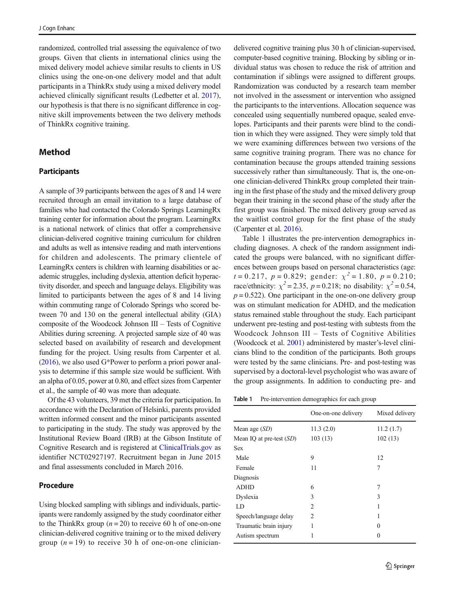randomized, controlled trial assessing the equivalence of two groups. Given that clients in international clinics using the mixed delivery model achieve similar results to clients in US clinics using the one-on-one delivery model and that adult participants in a ThinkRx study using a mixed delivery model achieved clinically significant results (Ledbetter et al. [2017\)](#page-8-0), our hypothesis is that there is no significant difference in cognitive skill improvements between the two delivery methods of ThinkRx cognitive training.

# Method

#### **Participants**

A sample of 39 participants between the ages of 8 and 14 were recruited through an email invitation to a large database of families who had contacted the Colorado Springs LearningRx training center for information about the program. LearningRx is a national network of clinics that offer a comprehensive clinician-delivered cognitive training curriculum for children and adults as well as intensive reading and math interventions for children and adolescents. The primary clientele of LearningRx centers is children with learning disabilities or academic struggles, including dyslexia, attention deficit hyperactivity disorder, and speech and language delays. Eligibility was limited to participants between the ages of 8 and 14 living within commuting range of Colorado Springs who scored between 70 and 130 on the general intellectual ability (GIA) composite of the Woodcock Johnson III – Tests of Cognitive Abilities during screening. A projected sample size of 40 was selected based on availability of research and development funding for the project. Using results from Carpenter et al. [\(2016](#page-8-0)), we also used G\*Power to perform a priori power analysis to determine if this sample size would be sufficient. With an alpha of 0.05, power at 0.80, and effect sizes from Carpenter et al., the sample of 40 was more than adequate.

Of the 43 volunteers, 39 met the criteria for participation. In accordance with the Declaration of Helsinki, parents provided written informed consent and the minor participants assented to participating in the study. The study was approved by the Institutional Review Board (IRB) at the Gibson Institute of Cognitive Research and is registered at [ClinicalTrials.gov](http://clinicaltrials.gov) as identifier NCT02927197. Recruitment began in June 2015 and final assessments concluded in March 2016.

#### Procedure

Using blocked sampling with siblings and individuals, participants were randomly assigned by the study coordinator either to the ThinkRx group  $(n = 20)$  to receive 60 h of one-on-one clinician-delivered cognitive training or to the mixed delivery group  $(n = 19)$  to receive 30 h of one-on-one cliniciandelivered cognitive training plus 30 h of clinician-supervised, computer-based cognitive training. Blocking by sibling or individual status was chosen to reduce the risk of attrition and contamination if siblings were assigned to different groups. Randomization was conducted by a research team member not involved in the assessment or intervention who assigned the participants to the interventions. Allocation sequence was concealed using sequentially numbered opaque, sealed envelopes. Participants and their parents were blind to the condition in which they were assigned. They were simply told that we were examining differences between two versions of the same cognitive training program. There was no chance for contamination because the groups attended training sessions successively rather than simultaneously. That is, the one-onone clinician-delivered ThinkRx group completed their training in the first phase of the study and the mixed delivery group began their training in the second phase of the study after the first group was finished. The mixed delivery group served as the waitlist control group for the first phase of the study (Carpenter et al. [2016](#page-8-0)).

Table 1 illustrates the pre-intervention demographics including diagnoses. A check of the random assignment indicated the groups were balanced, with no significant differences between groups based on personal characteristics (age:  $t = 0.217$ ,  $p = 0.829$ ; gender:  $\chi^2 = 1.80$ ,  $p = 0.210$ ; race/ethnicity:  $\chi^2$  = 2.35, p = 0.218; no disability:  $\chi^2$  = 0.54,  $p = 0.522$ ). One participant in the one-on-one delivery group was on stimulant medication for ADHD, and the medication status remained stable throughout the study. Each participant underwent pre-testing and post-testing with subtests from the Woodcock Johnson III – Tests of Cognitive Abilities (Woodcock et al. [2001](#page-9-0)) administered by master's-level clinicians blind to the condition of the participants. Both groups were tested by the same clinicians. Pre- and post-testing was supervised by a doctoral-level psychologist who was aware of the group assignments. In addition to conducting pre- and

Table 1 Pre-intervention demographics for each group

|                            | One-on-one delivery | Mixed delivery    |
|----------------------------|---------------------|-------------------|
| Mean age $(SD)$            | 11.3(2.0)           | 11.2(1.7)         |
| Mean IQ at pre-test $(SD)$ | 103(13)             | 102(13)           |
| <b>Sex</b>                 |                     |                   |
| Male                       | 9                   | 12                |
| Female                     | 11                  | 7                 |
| Diagnosis                  |                     |                   |
| <b>ADHD</b>                | 6                   | 7                 |
| Dyslexia                   | 3                   | 3                 |
| LD                         | $\mathfrak{D}$      | 1                 |
| Speech/language delay      | 2                   | 1                 |
| Traumatic brain injury     | 1                   | 0                 |
| Autism spectrum            | 1                   | $\mathbf{\Omega}$ |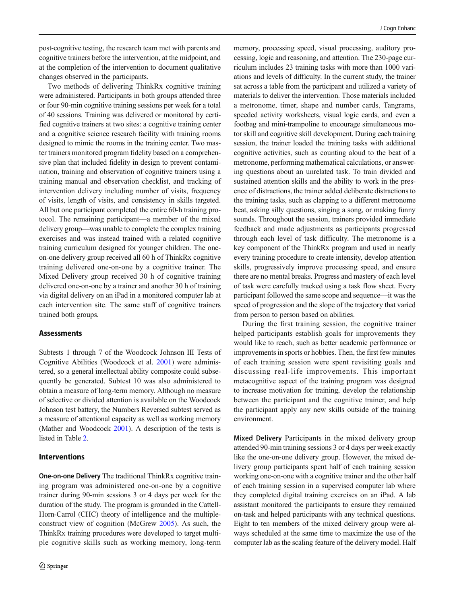post-cognitive testing, the research team met with parents and cognitive trainers before the intervention, at the midpoint, and at the completion of the intervention to document qualitative changes observed in the participants.

Two methods of delivering ThinkRx cognitive training were administered. Participants in both groups attended three or four 90-min cognitive training sessions per week for a total of 40 sessions. Training was delivered or monitored by certified cognitive trainers at two sites: a cognitive training center and a cognitive science research facility with training rooms designed to mimic the rooms in the training center. Two master trainers monitored program fidelity based on a comprehensive plan that included fidelity in design to prevent contamination, training and observation of cognitive trainers using a training manual and observation checklist, and tracking of intervention delivery including number of visits, frequency of visits, length of visits, and consistency in skills targeted. All but one participant completed the entire 60-h training protocol. The remaining participant—a member of the mixed delivery group—was unable to complete the complex training exercises and was instead trained with a related cognitive training curriculum designed for younger children. The oneon-one delivery group received all 60 h of ThinkRx cognitive training delivered one-on-one by a cognitive trainer. The Mixed Delivery group received 30 h of cognitive training delivered one-on-one by a trainer and another 30 h of training via digital delivery on an iPad in a monitored computer lab at each intervention site. The same staff of cognitive trainers trained both groups.

#### Assessments

Subtests 1 through 7 of the Woodcock Johnson III Tests of Cognitive Abilities (Woodcock et al. [2001\)](#page-9-0) were administered, so a general intellectual ability composite could subsequently be generated. Subtest 10 was also administered to obtain a measure of long-term memory. Although no measure of selective or divided attention is available on the Woodcock Johnson test battery, the Numbers Reversed subtest served as a measure of attentional capacity as well as working memory (Mather and Woodcock [2001](#page-8-0)). A description of the tests is listed in Table [2.](#page-4-0)

#### Interventions

One-on-one Delivery The traditional ThinkRx cognitive training program was administered one-on-one by a cognitive trainer during 90-min sessions 3 or 4 days per week for the duration of the study. The program is grounded in the Cattell-Horn-Carrol (CHC) theory of intelligence and the multipleconstruct view of cognition (McGrew [2005\)](#page-8-0). As such, the ThinkRx training procedures were developed to target multiple cognitive skills such as working memory, long-term memory, processing speed, visual processing, auditory processing, logic and reasoning, and attention. The 230-page curriculum includes 23 training tasks with more than 1000 variations and levels of difficulty. In the current study, the trainer sat across a table from the participant and utilized a variety of materials to deliver the intervention. Those materials included a metronome, timer, shape and number cards, Tangrams, speeded activity worksheets, visual logic cards, and even a footbag and mini-trampoline to encourage simultaneous motor skill and cognitive skill development. During each training session, the trainer loaded the training tasks with additional cognitive activities, such as counting aloud to the beat of a metronome, performing mathematical calculations, or answering questions about an unrelated task. To train divided and sustained attention skills and the ability to work in the presence of distractions, the trainer added deliberate distractions to the training tasks, such as clapping to a different metronome beat, asking silly questions, singing a song, or making funny sounds. Throughout the session, trainers provided immediate feedback and made adjustments as participants progressed through each level of task difficulty. The metronome is a key component of the ThinkRx program and used in nearly every training procedure to create intensity, develop attention skills, progressively improve processing speed, and ensure there are no mental breaks. Progress and mastery of each level of task were carefully tracked using a task flow sheet. Every participant followed the same scope and sequence—it was the speed of progression and the slope of the trajectory that varied from person to person based on abilities.

During the first training session, the cognitive trainer helped participants establish goals for improvements they would like to reach, such as better academic performance or improvements in sports or hobbies. Then, the first few minutes of each training session were spent revisiting goals and discussing real-life improvements. This important metacognitive aspect of the training program was designed to increase motivation for training, develop the relationship between the participant and the cognitive trainer, and help the participant apply any new skills outside of the training environment.

Mixed Delivery Participants in the mixed delivery group attended 90-min training sessions 3 or 4 days per week exactly like the one-on-one delivery group. However, the mixed delivery group participants spent half of each training session working one-on-one with a cognitive trainer and the other half of each training session in a supervised computer lab where they completed digital training exercises on an iPad. A lab assistant monitored the participants to ensure they remained on-task and helped participants with any technical questions. Eight to ten members of the mixed delivery group were always scheduled at the same time to maximize the use of the computer lab as the scaling feature of the delivery model. Half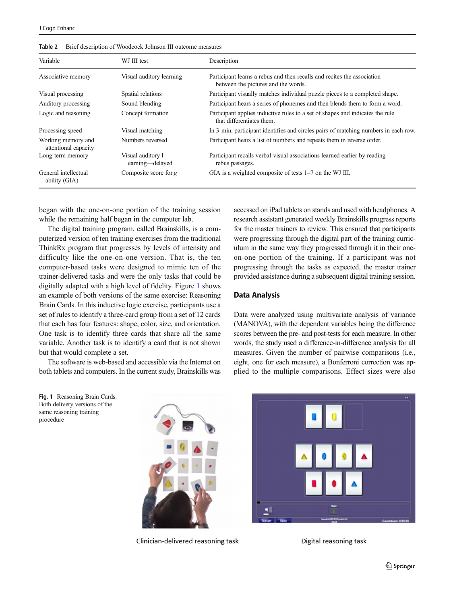| Variable                                   | WJ III test                          | Description                                                                                                    |
|--------------------------------------------|--------------------------------------|----------------------------------------------------------------------------------------------------------------|
| Associative memory                         | Visual auditory learning             | Participant learns a rebus and then recalls and recites the association<br>between the pictures and the words. |
| Visual processing                          | Spatial relations                    | Participant visually matches individual puzzle pieces to a completed shape.                                    |
| Auditory processing                        | Sound blending                       | Participant hears a series of phonemes and then blends them to form a word.                                    |
| Logic and reasoning                        | Concept formation                    | Participant applies inductive rules to a set of shapes and indicates the rule<br>that differentiates them.     |
| Processing speed                           | Visual matching                      | In 3 min, participant identifies and circles pairs of matching numbers in each row.                            |
| Working memory and<br>attentional capacity | Numbers reversed                     | Participant hears a list of numbers and repeats them in reverse order.                                         |
| Long-term memory                           | Visual auditory 1<br>earning-delayed | Participant recalls verbal-visual associations learned earlier by reading<br>rebus passages.                   |
| General intellectual<br>ability (GIA)      | Composite score for $g$              | GIA is a weighted composite of tests 1–7 on the WJ III.                                                        |

<span id="page-4-0"></span>Table 2 Brief description of Woodcock Johnson III outcome measures

began with the one-on-one portion of the training session while the remaining half began in the computer lab.

The digital training program, called Brainskills, is a computerized version of ten training exercises from the traditional ThinkRx program that progresses by levels of intensity and difficulty like the one-on-one version. That is, the ten computer-based tasks were designed to mimic ten of the trainer-delivered tasks and were the only tasks that could be digitally adapted with a high level of fidelity. Figure 1 shows an example of both versions of the same exercise: Reasoning Brain Cards. In this inductive logic exercise, participants use a set of rules to identify a three-card group from a set of 12 cards that each has four features: shape, color, size, and orientation. One task is to identify three cards that share all the same variable. Another task is to identify a card that is not shown but that would complete a set.

The software is web-based and accessible via the Internet on both tablets and computers. In the current study, Brainskills was accessed on iPad tablets on stands and used with headphones. A research assistant generated weekly Brainskills progress reports for the master trainers to review. This ensured that participants were progressing through the digital part of the training curriculum in the same way they progressed through it in their oneon-one portion of the training. If a participant was not progressing through the tasks as expected, the master trainer provided assistance during a subsequent digital training session.

### Data Analysis

Data were analyzed using multivariate analysis of variance (MANOVA), with the dependent variables being the difference scores between the pre- and post-tests for each measure. In other words, the study used a difference-in-difference analysis for all measures. Given the number of pairwise comparisons (i.e., eight, one for each measure), a Bonferroni correction was applied to the multiple comparisons. Effect sizes were also

Fig. 1 Reasoning Brain Cards. Both delivery versions of the same reasoning training procedure



Clinician-delivered reasoning task



Digital reasoning task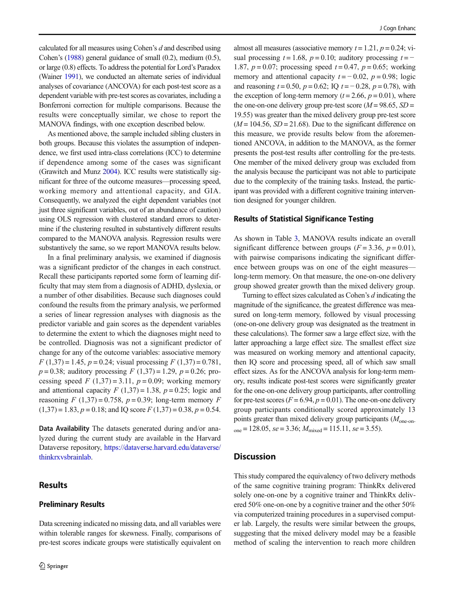calculated for all measures using Cohen's d and described using Cohen's ([1988\)](#page-8-0) general guidance of small (0.2), medium (0.5), or large (0.8) effects. To address the potential for Lord's Paradox (Wainer [1991](#page-9-0)), we conducted an alternate series of individual analyses of covariance (ANCOVA) for each post-test score as a dependent variable with pre-test scores as covariates, including a Bonferroni correction for multiple comparisons. Because the results were conceptually similar, we chose to report the MANOVA findings, with one exception described below.

As mentioned above, the sample included sibling clusters in both groups. Because this violates the assumption of independence, we first used intra-class correlations (ICC) to determine if dependence among some of the cases was significant (Grawitch and Munz [2004\)](#page-8-0). ICC results were statistically significant for three of the outcome measures—processing speed, working memory and attentional capacity, and GIA. Consequently, we analyzed the eight dependent variables (not just three significant variables, out of an abundance of caution) using OLS regression with clustered standard errors to determine if the clustering resulted in substantively different results compared to the MANOVA analysis. Regression results were substantively the same, so we report MANOVA results below.

In a final preliminary analysis, we examined if diagnosis was a significant predictor of the changes in each construct. Recall these participants reported some form of learning difficulty that may stem from a diagnosis of ADHD, dyslexia, or a number of other disabilities. Because such diagnoses could confound the results from the primary analysis, we performed a series of linear regression analyses with diagnosis as the predictor variable and gain scores as the dependent variables to determine the extent to which the diagnoses might need to be controlled. Diagnosis was not a significant predictor of change for any of the outcome variables: associative memory  $F(1,37) = 1.45$ ,  $p = 0.24$ ; visual processing  $F(1,37) = 0.781$ ,  $p = 0.38$ ; auditory processing  $F(1,37) = 1.29$ ,  $p = 0.26$ ; processing speed  $F(1,37) = 3.11$ ,  $p = 0.09$ ; working memory and attentional capacity  $F(1,37) = 1.38$ ,  $p = 0.25$ ; logic and reasoning  $F(1,37) = 0.758$ ,  $p = 0.39$ ; long-term memory  $F$  $(1,37) = 1.83, p = 0.18$ ; and IQ score  $F(1,37) = 0.38, p = 0.54$ .

Data Availability The datasets generated during and/or analyzed during the current study are available in the Harvard Dataverse repository, [https://dataverse.harvard.edu/dataverse/](https://dataverse.harvard.edu/dataverse/thinkrxvsbrainlab) [thinkrxvsbrainlab](https://dataverse.harvard.edu/dataverse/thinkrxvsbrainlab).

# Results

# Preliminary Results

Data screening indicated no missing data, and all variables were within tolerable ranges for skewness. Finally, comparisons of pre-test scores indicate groups were statistically equivalent on

almost all measures (associative memory  $t = 1.21$ ,  $p = 0.24$ ; visual processing  $t = 1.68$ ,  $p = 0.10$ ; auditory processing  $t = -$ 1.87,  $p = 0.07$ ; processing speed  $t = 0.47$ ,  $p = 0.65$ ; working memory and attentional capacity  $t = -0.02$ ,  $p = 0.98$ ; logic and reasoning  $t = 0.50$ ,  $p = 0.62$ ; IQ  $t = -0.28$ ,  $p = 0.78$ ), with the exception of long-term memory ( $t = 2.66$ ,  $p = 0.01$ ), where the one-on-one delivery group pre-test score ( $M = 98.65$ ,  $SD =$ 19.55) was greater than the mixed delivery group pre-test score  $(M = 104.56, SD = 21.68)$ . Due to the significant difference on this measure, we provide results below from the aforementioned ANCOVA, in addition to the MANOVA, as the former presents the post-test results after controlling for the pre-tests. One member of the mixed delivery group was excluded from the analysis because the participant was not able to participate due to the complexity of the training tasks. Instead, the participant was provided with a different cognitive training intervention designed for younger children.

#### Results of Statistical Significance Testing

As shown in Table [3](#page-6-0), MANOVA results indicate an overall significant difference between groups  $(F = 3.36, p = 0.01)$ , with pairwise comparisons indicating the significant difference between groups was on one of the eight measures long-term memory. On that measure, the one-on-one delivery group showed greater growth than the mixed delivery group.

Turning to effect sizes calculated as Cohen's d indicating the magnitude of the significance, the greatest difference was measured on long-term memory, followed by visual processing (one-on-one delivery group was designated as the treatment in these calculations). The former saw a large effect size, with the latter approaching a large effect size. The smallest effect size was measured on working memory and attentional capacity, then IQ score and processing speed, all of which saw small effect sizes. As for the ANCOVA analysis for long-term memory, results indicate post-test scores were significantly greater for the one-on-one delivery group participants, after controlling for pre-test scores ( $F = 6.94$ ,  $p = 0.01$ ). The one-on-one delivery group participants conditionally scored approximately 13 points greater than mixed delivery group participants  $(M_{one-on}$  $_{\text{one}}$  = 128.05, se = 3.36;  $M_{\text{mixed}}$  = 115.11, se = 3.55).

## **Discussion**

This study compared the equivalency of two delivery methods of the same cognitive training program: ThinkRx delivered solely one-on-one by a cognitive trainer and ThinkRx delivered 50% one-on-one by a cognitive trainer and the other 50% via computerized training procedures in a supervised computer lab. Largely, the results were similar between the groups, suggesting that the mixed delivery model may be a feasible method of scaling the intervention to reach more children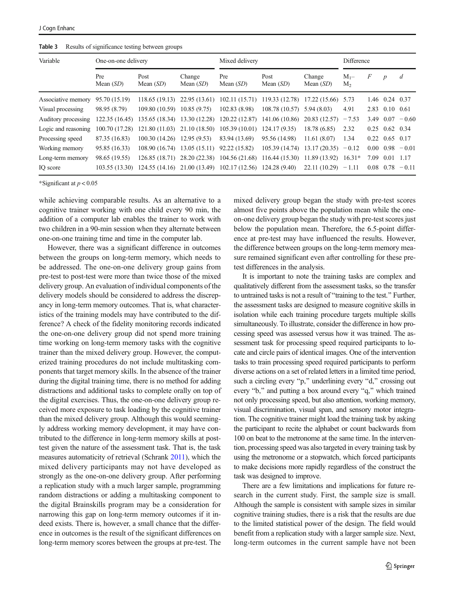<span id="page-6-0"></span>

| Table 3 |  |  | Results of significance testing between groups |  |
|---------|--|--|------------------------------------------------|--|
|---------|--|--|------------------------------------------------|--|

| Variable            | One-on-one delivery |                                             | Mixed delivery        |                                                           |                                                                                 | Difference            |                             |      |                  |                               |
|---------------------|---------------------|---------------------------------------------|-----------------------|-----------------------------------------------------------|---------------------------------------------------------------------------------|-----------------------|-----------------------------|------|------------------|-------------------------------|
|                     | Pre<br>Mean $(SD)$  | Post<br>Mean $(SD)$                         | Change<br>Mean $(SD)$ | Pre<br>Mean $(SD)$                                        | Post<br>Mean $(SD)$                                                             | Change<br>Mean $(SD)$ | $M_{1}$ -<br>M <sub>2</sub> | F    | $\boldsymbol{p}$ | $\overline{d}$                |
| Associative memory  | 95.70 (15.19)       |                                             |                       |                                                           | 118.65 (19.13) 22.95 (13.61) 102.11 (15.71) 119.33 (12.78) 17.22 (15.66) 5.73   |                       |                             | 1.46 | $0.24$ 0.37      |                               |
| Visual processing   | 98.95 (8.79)        | $109.80(10.59)$ $10.85(9.75)$               |                       | 102.83(8.98)                                              | $108.78(10.57)$ 5.94 (8.03)                                                     |                       | 4.91                        |      | 2.83 0.10 0.61   |                               |
| Auditory processing | 122.35(16.45)       |                                             |                       |                                                           | 135.65 (18.34) 13.30 (12.28) 120.22 (12.87) 141.06 (10.86)                      | $20.83(12.57) - 7.53$ |                             | 3.49 |                  | $0.07 - 0.60$                 |
| Logic and reasoning | 100.70 (17.28)      |                                             |                       | 121.80 (11.03) 21.10 (18.50) 105.39 (10.01) 124.17 (9.35) |                                                                                 | 18.78 (6.85)          | 2.32                        |      | $0.25$ 0.62 0.34 |                               |
| Processing speed    | 87.35 (16.83)       | $100.30(14.26)$ 12.95 (9.53)                |                       | 83.94 (13.69)                                             | 95.56 (14.98)                                                                   | 11.61(8.07)           | 1.34                        |      | $0.22$ 0.65 0.17 |                               |
| Working memory      | 95.85 (16.33)       | $108.90(16.74)$ 13.05 (15.11) 92.22 (15.82) |                       |                                                           | 105.39 (14.74)                                                                  | $13.17(20.35) -0.12$  |                             |      |                  | $0.00 \quad 0.98 \quad -0.01$ |
| Long-term memory    | 98.65 (19.55)       |                                             |                       |                                                           | 126.85 (18.71) 28.20 (22.38) 104.56 (21.68) 116.44 (15.30) 11.89 (13.92) 16.31* |                       |                             | 7.09 | 0.01 1.17        |                               |
| IO score            | 103.55(13.30)       |                                             |                       |                                                           | 124.55 (14.16) 21.00 (13.49) 102.17 (12.56) 124.28 (9.40)                       | $22.11(10.29) -1.11$  |                             |      |                  | $0.08$ $0.78$ $-0.11$         |

\*Significant at  $p < 0.05$ 

while achieving comparable results. As an alternative to a cognitive trainer working with one child every 90 min, the addition of a computer lab enables the trainer to work with two children in a 90-min session when they alternate between one-on-one training time and time in the computer lab.

However, there was a significant difference in outcomes between the groups on long-term memory, which needs to be addressed. The one-on-one delivery group gains from pre-test to post-test were more than twice those of the mixed delivery group. An evaluation of individual components of the delivery models should be considered to address the discrepancy in long-term memory outcomes. That is, what characteristics of the training models may have contributed to the difference? A check of the fidelity monitoring records indicated the one-on-one delivery group did not spend more training time working on long-term memory tasks with the cognitive trainer than the mixed delivery group. However, the computerized training procedures do not include multitasking components that target memory skills. In the absence of the trainer during the digital training time, there is no method for adding distractions and additional tasks to complete orally on top of the digital exercises. Thus, the one-on-one delivery group received more exposure to task loading by the cognitive trainer than the mixed delivery group. Although this would seemingly address working memory development, it may have contributed to the difference in long-term memory skills at posttest given the nature of the assessment task. That is, the task measures automaticity of retrieval (Schrank [2011\)](#page-9-0), which the mixed delivery participants may not have developed as strongly as the one-on-one delivery group. After performing a replication study with a much larger sample, programming random distractions or adding a multitasking component to the digital Brainskills program may be a consideration for narrowing this gap on long-term memory outcomes if it indeed exists. There is, however, a small chance that the difference in outcomes is the result of the significant differences on long-term memory scores between the groups at pre-test. The mixed delivery group began the study with pre-test scores almost five points above the population mean while the oneon-one delivery group began the study with pre-test scores just below the population mean. Therefore, the 6.5-point difference at pre-test may have influenced the results. However, the difference between groups on the long-term memory measure remained significant even after controlling for these pretest differences in the analysis.

It is important to note the training tasks are complex and qualitatively different from the assessment tasks, so the transfer to untrained tasks is not a result of "training to the test." Further, the assessment tasks are designed to measure cognitive skills in isolation while each training procedure targets multiple skills simultaneously. To illustrate, consider the difference in how processing speed was assessed versus how it was trained. The assessment task for processing speed required participants to locate and circle pairs of identical images. One of the intervention tasks to train processing speed required participants to perform diverse actions on a set of related letters in a limited time period, such a circling every "p," underlining every "d," crossing out every "b," and putting a box around every "q," which trained not only processing speed, but also attention, working memory, visual discrimination, visual span, and sensory motor integration. The cognitive trainer might load the training task by asking the participant to recite the alphabet or count backwards from 100 on beat to the metronome at the same time. In the intervention, processing speed was also targeted in every training task by using the metronome or a stopwatch, which forced participants to make decisions more rapidly regardless of the construct the task was designed to improve.

There are a few limitations and implications for future research in the current study. First, the sample size is small. Although the sample is consistent with sample sizes in similar cognitive training studies, there is a risk that the results are due to the limited statistical power of the design. The field would benefit from a replication study with a larger sample size. Next, long-term outcomes in the current sample have not been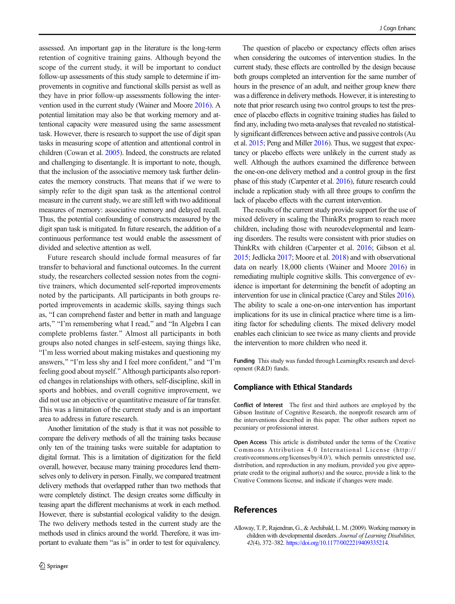<span id="page-7-0"></span>assessed. An important gap in the literature is the long-term retention of cognitive training gains. Although beyond the scope of the current study, it will be important to conduct follow-up assessments of this study sample to determine if improvements in cognitive and functional skills persist as well as they have in prior follow-up assessments following the intervention used in the current study (Wainer and Moore [2016](#page-9-0)). A potential limitation may also be that working memory and attentional capacity were measured using the same assessment task. However, there is research to support the use of digit span tasks in measuring scope of attention and attentional control in children (Cowan et al. [2005\)](#page-8-0). Indeed, the constructs are related and challenging to disentangle. It is important to note, though, that the inclusion of the associative memory task further delineates the memory constructs. That means that if we were to simply refer to the digit span task as the attentional control measure in the current study, we are still left with two additional measures of memory: associative memory and delayed recall. Thus, the potential confounding of constructs measured by the digit span task is mitigated. In future research, the addition of a continuous performance test would enable the assessment of divided and selective attention as well.

Future research should include formal measures of far transfer to behavioral and functional outcomes. In the current study, the researchers collected session notes from the cognitive trainers, which documented self-reported improvements noted by the participants. All participants in both groups reported improvements in academic skills, saying things such as, "I can comprehend faster and better in math and language arts," "I'm remembering what I read," and "In Algebra I can complete problems faster.^ Almost all participants in both groups also noted changes in self-esteem, saying things like, BI'm less worried about making mistakes and questioning my answers," "I'm less shy and I feel more confident," and "I'm feeling good about myself.^ Although participants also reported changes in relationships with others, self-discipline, skill in sports and hobbies, and overall cognitive improvement, we did not use an objective or quantitative measure of far transfer. This was a limitation of the current study and is an important area to address in future research.

Another limitation of the study is that it was not possible to compare the delivery methods of all the training tasks because only ten of the training tasks were suitable for adaptation to digital format. This is a limitation of digitization for the field overall, however, because many training procedures lend themselves only to delivery in person. Finally, we compared treatment delivery methods that overlapped rather than two methods that were completely distinct. The design creates some difficulty in teasing apart the different mechanisms at work in each method. However, there is substantial ecological validity to the design. The two delivery methods tested in the current study are the methods used in clinics around the world. Therefore, it was important to evaluate them "as is" in order to test for equivalency.

The question of placebo or expectancy effects often arises when considering the outcomes of intervention studies. In the current study, these effects are controlled by the design because both groups completed an intervention for the same number of hours in the presence of an adult, and neither group knew there was a difference in delivery methods. However, it is interesting to note that prior research using two control groups to test the presence of placebo effects in cognitive training studies has failed to find any, including two meta-analyses that revealed no statistically significant differences between active and passive controls (Au et al. [2015;](#page-8-0) Peng and Miller [2016\)](#page-9-0). Thus, we suggest that expectancy or placebo effects were unlikely in the current study as well. Although the authors examined the difference between the one-on-one delivery method and a control group in the first phase of this study (Carpenter et al. [2016\)](#page-8-0), future research could include a replication study with all three groups to confirm the lack of placebo effects with the current intervention.

The results of the current study provide support for the use of mixed delivery in scaling the ThinkRx program to reach more children, including those with neurodevelopmental and learning disorders. The results were consistent with prior studies on ThinkRx with children (Carpenter et al. [2016;](#page-8-0) Gibson et al. [2015](#page-8-0); Jedlicka [2017](#page-8-0); Moore et al. [2018](#page-8-0)) and with observational data on nearly 18,000 clients (Wainer and Moore [2016\)](#page-9-0) in remediating multiple cognitive skills. This convergence of evidence is important for determining the benefit of adopting an intervention for use in clinical practice (Carey and Stiles [2016\)](#page-8-0). The ability to scale a one-on-one intervention has important implications for its use in clinical practice where time is a limiting factor for scheduling clients. The mixed delivery model enables each clinician to see twice as many clients and provide the intervention to more children who need it.

Funding This study was funded through LearningRx research and development (R&D) funds.

## Compliance with Ethical Standards

Conflict of Interest The first and third authors are employed by the Gibson Institute of Cognitive Research, the nonprofit research arm of the interventions described in this paper. The other authors report no pecuniary or professional interest.

Open Access This article is distributed under the terms of the Creative Commons Attribution 4.0 International License (http:// creativecommons.org/licenses/by/4.0/), which permits unrestricted use, distribution, and reproduction in any medium, provided you give appropriate credit to the original author(s) and the source, provide a link to the Creative Commons license, and indicate if changes were made.

# References

Alloway, T. P., Rajendran, G., & Archibald, L. M. (2009). Working memory in children with developmental disorders. Journal of Learning Disabilities, 42(4), 372–382. [https://doi.org/10.1177/0022219409335214.](https://doi.org/10.1177/0022219409335214)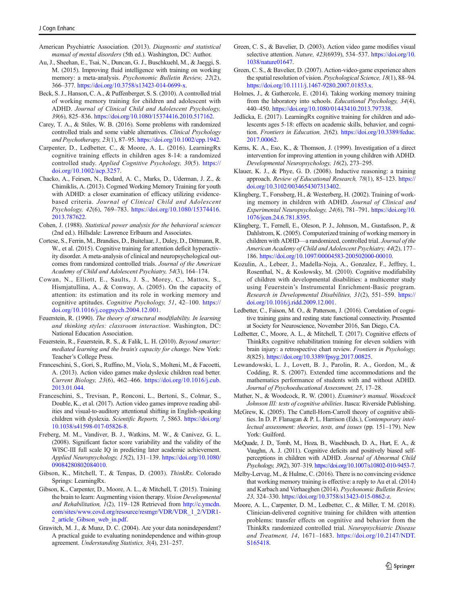- <span id="page-8-0"></span>American Psychiatric Association. (2013). Diagnostic and statistical manual of mental disorders (5th ed.). Washington, DC: Author.
- Au, J., Sheehan, E., Tsai, N., Duncan, G. J., Buschkuehl, M., & Jaeggi, S. M. (2015). Improving fluid intelligence with training on working memory: a meta-analysis. Psychonomic Bulletin Review, 22(2), 366–377. [https://doi.org/10.3758/s13423-014-0699-x.](https://doi.org/10.3758/s13423-014-0699-x)
- Beck, S. J., Hanson, C. A., & Puffenberger, S. S. (2010). A controlled trial of working memory training for children and adolescent with ADHD. Journal of Clinical Child and Adolescent Psychology, 39(6), 825–836. [https://doi.org/10.1080/15374416.2010.517162.](https://doi.org/10.1080/15374416.2010.517162)
- Carey, T. A., & Stiles, W. B. (2016). Some problems with randomized controlled trials and some viable alternatives. Clinical Psychology and Psychotherapy, 23(1), 87–95. <https://doi.org/10.1002/cpp.1942>.
- Carpenter, D., Ledbetter, C., & Moore, A. L. (2016). LearningRx cognitive training effects in children ages 8-14: a randomized controlled study. Applied Cognitive Psychology, 30(5). [https://](https://doi.org/10.1002/acp.3257) [doi.org/10.1002/acp.3257](https://doi.org/10.1002/acp.3257).
- Chacko, A., Feirsen, N., Bedard, A. C., Marks, D., Uderman, J. Z., & Chimiklis, A. (2013). Cogmed Working Memory Training for youth with ADHD: a closer examination of efficacy utilizing evidencebased criteria. Journal of Clinical Child and Adolescent Psychology, 42(6), 769–783. [https://doi.org/10.1080/15374416.](https://doi.org/10.1080/15374416.2013.787622) [2013.787622](https://doi.org/10.1080/15374416.2013.787622).
- Cohen, J. (1988). Statistical power analysis for the behavioral sciences (2nd ed.). Hillsdale: Lawrence Erlbaum and Associates.
- Cortese, S., Ferrin, M., Brandies, D., Buitelaar, J., Daley, D., Dittmann, R. W., et al. (2015). Cognitive training for attention deficit hyperactivity disorder. A meta-analysis of clinical and neuropsychological outcomes from randomized controlled trials. Journal of the American Academy of Child and Adolescent Psychiatry, 54(3), 164–174.
- Cowan, N., Elliott, E., Saults, J. S., Morey, C., Mattox, S., Hismjatullina, A., & Conway, A. (2005). On the capacity of attention: its estimation and its role in working memory and cognitive aptitudes. Cognitive Psychology, 51, 42–100. [https://](https://doi.org/10.1016/j.cogpsych.2004.12.001) [doi.org/10.1016/j.cogpsych.2004.12.001.](https://doi.org/10.1016/j.cogpsych.2004.12.001)
- Feuerstein, R. (1990). The theory of structural modifiability. In learning and thinking styles: classroom interaction. Washington, DC: National Education Association.
- Feuerstein, R., Feuerstein, R. S., & Falik, L. H. (2010). Beyond smarter: mediated learning and the brain's capacity for change. New York: Teacher's College Press.
- Franceschini, S., Gori, S., Ruffino, M., Viola, S., Molteni, M., & Facoetti, A. (2013). Action video games make dyslexic children read better. Current Biology, 23(6), 462–466. [https://doi.org/10.1016/j.cub.](https://doi.org/10.1016/j.cub.2013.01.044) [2013.01.044](https://doi.org/10.1016/j.cub.2013.01.044).
- Franceschini, S., Trevisan, P., Ronconi, L., Bertoni, S., Colmar, S., Double, K., et al. (2017). Action video games improve reading abilities and visual-to-auditory attentional shifting in English-speaking children with dyslexia. Scientific Reports, 7, 5863. [https://doi.org/](https://doi.org/10.1038/s41598-017-05826-8) [10.1038/s41598-017-05826-8.](https://doi.org/10.1038/s41598-017-05826-8)
- Freberg, M. M., Vandiver, B. J., Watkins, M. W., & Canivez, G. L. (2008). Significant factor score variability and the validity of the WISC-III full scale IQ in predicting later academic achievement. Applied Neuropsychology, 15(2), 131–139. [https://doi.org/10.1080/](https://doi.org/10.1080/09084280802084010) [09084280802084010](https://doi.org/10.1080/09084280802084010).
- Gibson, K., Mitchell, T., & Tenpas, D. (2003). ThinkRx. Colorado Springs: LearningRx.
- Gibson, K., Carpenter, D., Moore, A. L., & Mitchell, T. (2015). Training the brain to learn: Augmenting vision therapy. Vision Developmental and Rehabilitation, 1(2), 119–128 Retrieved from [http://c.ymcdn.](http://c.ymcdn.com/sites/www.covd.org/resource/resmgr/VDR/VDR_1_2/VDR1-2_article_Gibson_web_in.pdf) [com/sites/www.covd.org/resource/resmgr/VDR/VDR\\_1\\_2/VDR1-](http://c.ymcdn.com/sites/www.covd.org/resource/resmgr/VDR/VDR_1_2/VDR1-2_article_Gibson_web_in.pdf) [2\\_article\\_Gibson\\_web\\_in.pdf](http://c.ymcdn.com/sites/www.covd.org/resource/resmgr/VDR/VDR_1_2/VDR1-2_article_Gibson_web_in.pdf).
- Grawitch, M. J., & Munz, D. C. (2004). Are your data nonindependent? A practical guide to evaluating nonindependence and within-group agreement. Understanding Statistics, 3(4), 231–257.
- Green, C. S., & Bavelier, D. (2003). Action video game modifies visual selective attention. Nature, 423(6939), 534-537. [https://doi.org/10.](https://doi.org/10.1038/nature01647) [1038/nature01647.](https://doi.org/10.1038/nature01647)
- Green, C. S., & Bavelier, D. (2007). Action-video-game experience alters the spatial resolution of vision. Psychological Science, 18(1), 88–94. [https://doi.org/10.1111/j.1467-9280.2007.01853.x.](https://doi.org/10.1111/j.1467-9280.2007.01853.x)
- Holmes, J., & Gathercole, E. (2014). Taking working memory training from the laboratory into schools. Educational Psychology, 34(4), 440–450. [https://doi.org/10.1080/01443410.2013.797338.](https://doi.org/10.1080/01443410.2013.797338)
- Jedlicka, E. (2017). LearningRx cognitive training for children and adolescents ages 5-18: effects on academic skills, behavior, and cognition. Frontiers in Education, 2(62). [https://doi.org/10.3389/feduc.](https://doi.org/10.3389/feduc.2017.00062) [2017.00062](https://doi.org/10.3389/feduc.2017.00062).
- Kerns, K. A., Eso, K., & Thomson, J. (1999). Investigation of a direct intervention for improving attention in young children with ADHD. Developmental Neuropsychology, 16(2), 273–295.
- Klauer, K. J., & Phye, G. D. (2008). Inductive reasoning: a training approach. Review of Educational Research, 78(1), 85–123. [https://](https://doi.org/10.3102/0034654307313402) [doi.org/10.3102/0034654307313402.](https://doi.org/10.3102/0034654307313402)
- Klingberg, T., Forssberg, H., & Westerberg, H. (2002). Training of working memory in children with ADHD. Journal of Clinical and Experimental Neuropsychology, 24(6), 781–791. [https://doi.org/10.](https://doi.org/10.1076/jcen.24.6.781.8395) [1076/jcen.24.6.781.8395.](https://doi.org/10.1076/jcen.24.6.781.8395)
- Klingberg, T., Fernell, E., Oleson, P. J., Johnson, M., Gustafsson, P., & Dahlstrom, K. (2005). Computerized training of working memory in children with ADHD—a randomized, controlled trial. Journal of the American Academy of Child and Adolescent Psychiatry, 44(2), 177– 186. <https://doi.org/10.1097/00004583-200502000-00010>.
- Kozulin, A., Lebeer, J., Madella-Noja, A., Gonzalez, F., Jeffrey, I., Rosenthal, N., & Koslowsky, M. (2010). Cognitive modifiability of children with developmental disabilities: a multicenter study using Feuerstein's Instrumental Enrichment-Basic program. Research in Developmental Disabilities, 31(2), 551–559. [https://](https://doi.org/10.1016/j.ridd.2009.12.001) [doi.org/10.1016/j.ridd.2009.12.001](https://doi.org/10.1016/j.ridd.2009.12.001).
- Ledbetter, C., Faison, M. O., & Patterson, J. (2016). Correlation of cognitive training gains and resting state functional connectivity. Presented at Society for Neuroscience, November 2016, San Diego, CA.
- Ledbetter, C., Moore, A. L., & Mitchell, T. (2017). Cognitive effects of ThinkRx cognitive rehabilitation training for eleven soldiers with brain injury: a retrospective chart review. Frontiers in Psychology, 8(825). [https://doi.org/10.3389/fpsyg.2017.00825.](https://doi.org/10.3389/fpsyg.2017.00825)
- Lewandowski, L. J., Lovett, B. J., Parolin, R. A., Gordon, M., & Codding, R. S. (2007). Extended time accommodations and the mathematics performance of students with and without ADHD. Journal of Psychoeducational Assessment, 25, 17–28.
- Mather, N., & Woodcock, R. W. (2001). Examiner's manual. Woodcock Johnson III: tests of cognitive abilities. Itasca: Riverside Publishing.
- McGrew, K. (2005). The Cattell-Horn-Carroll theory of cognitive abilities. In D. P. Flanagan & P. L. Harrison (Eds.), Contemporary intellectual assessment: theories, tests, and issues (pp. 151–179). New York: Guilford.
- McQuade, J. D., Tomb, M., Hoza, B., Waschbusch, D. A., Hurt, E. A., & Vaughn, A. J. (2011). Cognitive deficits and positively biased selfperceptions in children with ADHD. Journal of Abnormal Child Psychology, 39(2), 307–319. <https://doi.org/10.1007/s10802-010-9453-7>.
- Melby-Lervag, M., & Hulme, C. (2016). There is no convincing evidence that working memory training is effective: a reply to Au et al. (2014) and Karbach and Verhaeghen (2014). Psychonomic Bulletin Review, 23, 324–330. <https://doi.org/10.3758/s13423-015-0862-z>.
- Moore, A. L., Carpenter, D. M., Ledbetter, C., & Miller, T. M. (2018). Clinician-delivered cognitive training for children with attention problems: transfer effects on cognitive and behavior from the ThinkRx randomized controlled trial. Neuropsychiatric Disease and Treatment, 14, 1671–1683. [https://doi.org/10.2147/NDT.](https://doi.org/10.2147/NDT.S165418) [S165418](https://doi.org/10.2147/NDT.S165418).